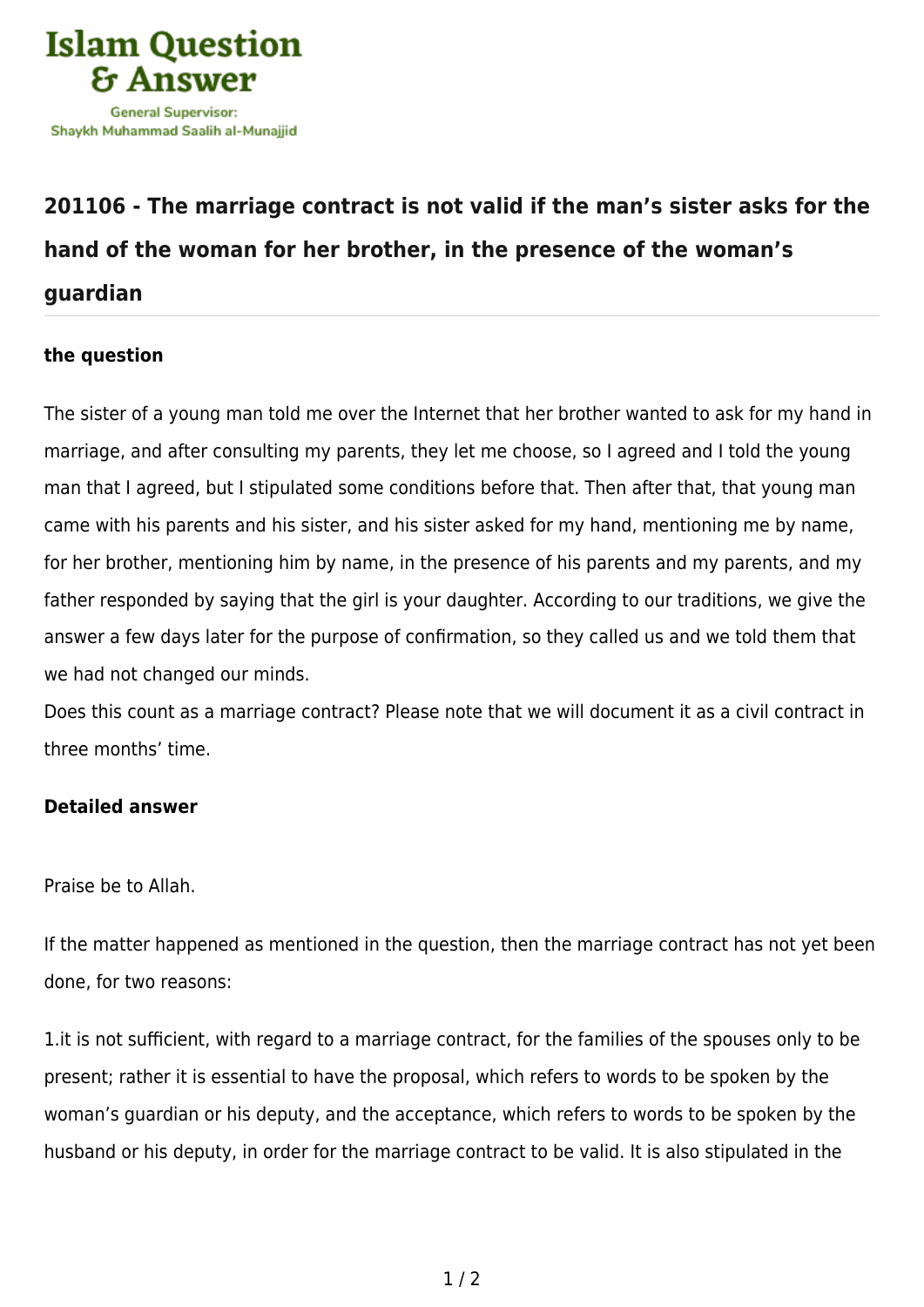

## **[201106 - The marriage contract is not valid if the man's sister asks for the](https://islamqa.com/en/answers/201106/the-marriage-contract-is-not-valid-if-the-mans-sister-asks-for-the-hand-of-the-woman-for-her-brother-in-the-presence-of-the-womans-guardian) [hand of the woman for her brother, in the presence of the woman's](https://islamqa.com/en/answers/201106/the-marriage-contract-is-not-valid-if-the-mans-sister-asks-for-the-hand-of-the-woman-for-her-brother-in-the-presence-of-the-womans-guardian) [guardian](https://islamqa.com/en/answers/201106/the-marriage-contract-is-not-valid-if-the-mans-sister-asks-for-the-hand-of-the-woman-for-her-brother-in-the-presence-of-the-womans-guardian)**

## **the question**

The sister of a young man told me over the Internet that her brother wanted to ask for my hand in marriage, and after consulting my parents, they let me choose, so I agreed and I told the young man that I agreed, but I stipulated some conditions before that. Then after that, that young man came with his parents and his sister, and his sister asked for my hand, mentioning me by name, for her brother, mentioning him by name, in the presence of his parents and my parents, and my father responded by saying that the girl is your daughter. According to our traditions, we give the answer a few days later for the purpose of confirmation, so they called us and we told them that we had not changed our minds.

Does this count as a marriage contract? Please note that we will document it as a civil contract in three months' time.

## **Detailed answer**

Praise be to Allah.

If the matter happened as mentioned in the question, then the marriage contract has not yet been done, for two reasons:

1.it is not sufficient, with regard to a marriage contract, for the families of the spouses only to be present; rather it is essential to have the proposal, which refers to words to be spoken by the woman's guardian or his deputy, and the acceptance, which refers to words to be spoken by the husband or his deputy, in order for the marriage contract to be valid. It is also stipulated in the